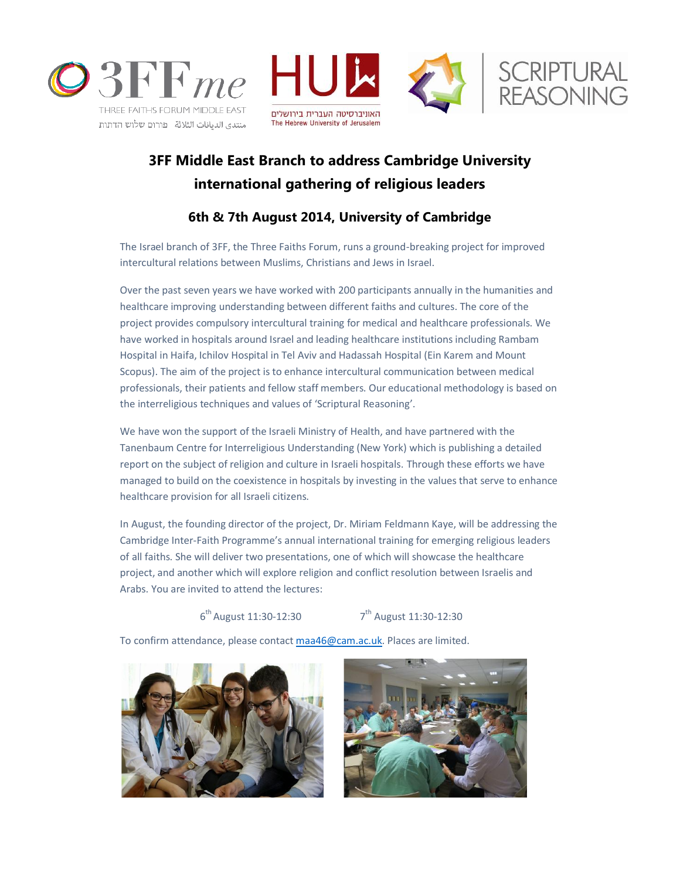





## **3FF Middle East Branch to address Cambridge University international gathering of religious leaders**

## **6th & 7th August 2014, University of Cambridge**

The Israel branch of 3FF, the Three Faiths Forum, runs a ground-breaking project for improved intercultural relations between Muslims, Christians and Jews in Israel.

Over the past seven years we have worked with 200 participants annually in the humanities and healthcare improving understanding between different faiths and cultures. The core of the project provides compulsory intercultural training for medical and healthcare professionals. We have worked in hospitals around Israel and leading healthcare institutions including Rambam Hospital in Haifa, Ichilov Hospital in Tel Aviv and Hadassah Hospital (Ein Karem and Mount Scopus). The aim of the project is to enhance intercultural communication between medical professionals, their patients and fellow staff members. Our educational methodology is based on the interreligious techniques and values of 'Scriptural Reasoning'.

We have won the support of the Israeli Ministry of Health, and have partnered with the Tanenbaum Centre for Interreligious Understanding (New York) which is publishing a detailed report on the subject of religion and culture in Israeli hospitals. Through these efforts we have managed to build on the coexistence in hospitals by investing in the values that serve to enhance healthcare provision for all Israeli citizens.

In August, the founding director of the project, Dr. Miriam Feldmann Kaye, will be addressing the Cambridge Inter-Faith Programme's annual international training for emerging religious leaders of all faiths. She will deliver two presentations, one of which will showcase the healthcare project, and another which will explore religion and conflict resolution between Israelis and Arabs. You are invited to attend the lectures:

## 6<sup>th</sup> August 11:30-12:30 7

 $7^{th}$  August 11:30-12:30

To confirm attendance, please contac[t maa46@cam.ac.uk.](mailto:maa46@cam.ac.uk) Places are limited.